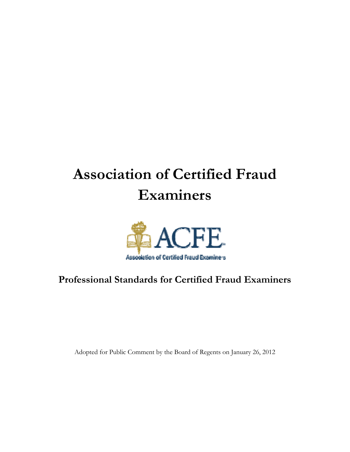# **Association of Certified Fraud Examiners**



# **Professional Standards for Certified Fraud Examiners**

Adopted for Public Comment by the Board of Regents on January 26, 2012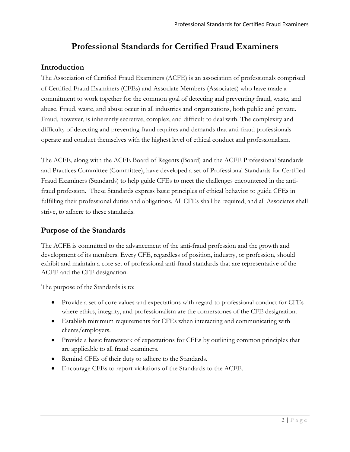# **Professional Standards for Certified Fraud Examiners**

## **Introduction**

The Association of Certified Fraud Examiners (ACFE) is an association of professionals comprised of Certified Fraud Examiners (CFEs) and Associate Members (Associates) who have made a commitment to work together for the common goal of detecting and preventing fraud, waste, and abuse. Fraud, waste, and abuse occur in all industries and organizations, both public and private. Fraud, however, is inherently secretive, complex, and difficult to deal with. The complexity and difficulty of detecting and preventing fraud requires and demands that anti-fraud professionals operate and conduct themselves with the highest level of ethical conduct and professionalism.

The ACFE, along with the ACFE Board of Regents (Board) and the ACFE Professional Standards and Practices Committee (Committee), have developed a set of Professional Standards for Certified Fraud Examiners (Standards) to help guide CFEs to meet the challenges encountered in the antifraud profession. These Standards express basic principles of ethical behavior to guide CFEs in fulfilling their professional duties and obligations. All CFEs shall be required, and all Associates shall strive, to adhere to these standards.

## **Purpose of the Standards**

The ACFE is committed to the advancement of the anti-fraud profession and the growth and development of its members. Every CFE, regardless of position, industry, or profession, should exhibit and maintain a core set of professional anti-fraud standards that are representative of the ACFE and the CFE designation.

The purpose of the Standards is to:

- Provide a set of core values and expectations with regard to professional conduct for CFEs where ethics, integrity, and professionalism are the cornerstones of the CFE designation.
- Establish minimum requirements for CFEs when interacting and communicating with clients/employers.
- Provide a basic framework of expectations for CFEs by outlining common principles that are applicable to all fraud examiners.
- Remind CFEs of their duty to adhere to the Standards*.*
- Encourage CFEs to report violations of the Standards to the ACFE.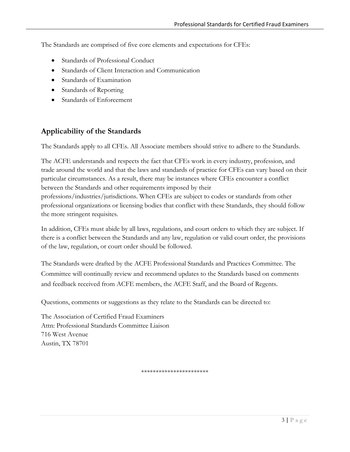The Standards are comprised of five core elements and expectations for CFEs:

- Standards of Professional Conduct
- Standards of Client Interaction and Communication
- Standards of Examination
- Standards of Reporting
- Standards of Enforcement

## **Applicability of the Standards**

The Standards apply to all CFEs. All Associate members should strive to adhere to the Standards.

The ACFE understands and respects the fact that CFEs work in every industry, profession, and trade around the world and that the laws and standards of practice for CFEs can vary based on their particular circumstances. As a result, there may be instances where CFEs encounter a conflict between the Standards and other requirements imposed by their professions/industries/jurisdictions. When CFEs are subject to codes or standards from other professional organizations or licensing bodies that conflict with these Standards, they should follow the more stringent requisites.

In addition, CFEs must abide by all laws, regulations, and court orders to which they are subject. If there is a conflict between the Standards and any law, regulation or valid court order, the provisions of the law, regulation, or court order should be followed.

The Standards were drafted by the ACFE Professional Standards and Practices Committee. The Committee will continually review and recommend updates to the Standards based on comments and feedback received from ACFE members, the ACFE Staff, and the Board of Regents.

Questions, comments or suggestions as they relate to the Standards can be directed to:

The Association of Certified Fraud Examiners Attn: Professional Standards Committee Liaison 716 West Avenue Austin, TX 78701

\*\*\*\*\*\*\*\*\*\*\*\*\*\*\*\*\*\*\*\*\*\*\*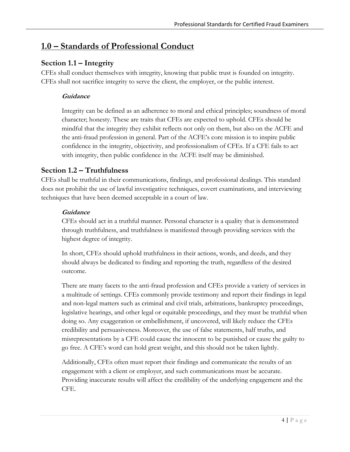# **1.0 – Standards of Professional Conduct**

## **Section 1.1 – Integrity**

CFEs shall conduct themselves with integrity, knowing that public trust is founded on integrity. CFEs shall not sacrifice integrity to serve the client, the employer, or the public interest.

#### **Guidance**

Integrity can be defined as an adherence to moral and ethical principles; soundness of moral character; honesty. These are traits that CFEs are expected to uphold. CFEs should be mindful that the integrity they exhibit reflects not only on them, but also on the ACFE and the anti-fraud profession in general. Part of the ACFE's core mission is to inspire public confidence in the integrity, objectivity, and professionalism of CFEs. If a CFE fails to act with integrity, then public confidence in the ACFE itself may be diminished.

## **Section 1.2 – Truthfulness**

CFEs shall be truthful in their communications, findings, and professional dealings. This standard does not prohibit the use of lawful investigative techniques, covert examinations, and interviewing techniques that have been deemed acceptable in a court of law.

#### **Guidance**

CFEs should act in a truthful manner. Personal character is a quality that is demonstrated through truthfulness, and truthfulness is manifested through providing services with the highest degree of integrity.

In short, CFEs should uphold truthfulness in their actions, words, and deeds, and they should always be dedicated to finding and reporting the truth, regardless of the desired outcome.

There are many facets to the anti-fraud profession and CFEs provide a variety of services in a multitude of settings. CFEs commonly provide testimony and report their findings in legal and non-legal matters such as criminal and civil trials, arbitrations, bankruptcy proceedings, legislative hearings, and other legal or equitable proceedings, and they must be truthful when doing so. Any exaggeration or embellishment, if uncovered, will likely reduce the CFEs credibility and persuasiveness. Moreover, the use of false statements, half truths, and misrepresentations by a CFE could cause the innocent to be punished or cause the guilty to go free. A CFE's word can hold great weight, and this should not be taken lightly.

Additionally, CFEs often must report their findings and communicate the results of an engagement with a client or employer, and such communications must be accurate. Providing inaccurate results will affect the credibility of the underlying engagement and the CFE.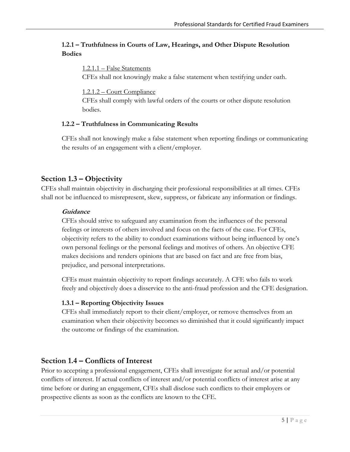#### **1.2.1 – Truthfulness in Courts of Law, Hearings, and Other Dispute Resolution Bodies**

#### 1.2.1.1 – False Statements

CFEs shall not knowingly make a false statement when testifying under oath.

1.2.1.2 – Court Compliance

CFEs shall comply with lawful orders of the courts or other dispute resolution bodies.

#### **1.2.2 – Truthfulness in Communicating Results**

CFEs shall not knowingly make a false statement when reporting findings or communicating the results of an engagement with a client/employer.

## **Section 1.3 – Objectivity**

CFEs shall maintain objectivity in discharging their professional responsibilities at all times. CFEs shall not be influenced to misrepresent, skew, suppress, or fabricate any information or findings.

#### **Guidance**

CFEs should strive to safeguard any examination from the influences of the personal feelings or interests of others involved and focus on the facts of the case. For CFEs, objectivity refers to the ability to conduct examinations without being influenced by one's own personal feelings or the personal feelings and motives of others. An objective CFE makes decisions and renders opinions that are based on fact and are free from bias, prejudice, and personal interpretations.

CFEs must maintain objectivity to report findings accurately. A CFE who fails to work freely and objectively does a disservice to the anti-fraud profession and the CFE designation.

#### **1.3.1 – Reporting Objectivity Issues**

CFEs shall immediately report to their client/employer, or remove themselves from an examination when their objectivity becomes so diminished that it could significantly impact the outcome or findings of the examination.

## **Section 1.4 – Conflicts of Interest**

Prior to accepting a professional engagement, CFEs shall investigate for actual and/or potential conflicts of interest. If actual conflicts of interest and/or potential conflicts of interest arise at any time before or during an engagement, CFEs shall disclose such conflicts to their employers or prospective clients as soon as the conflicts are known to the CFE.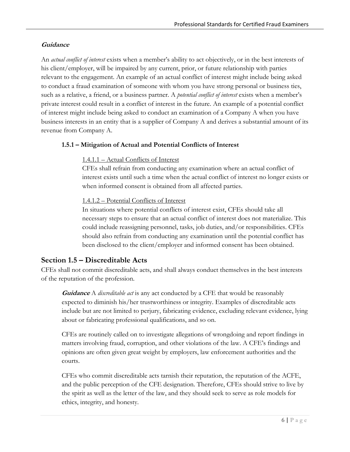#### **Guidance**

An *actual conflict of interest* exists when a member's ability to act objectively, or in the best interests of his client/employer, will be impaired by any current, prior, or future relationship with parties relevant to the engagement. An example of an actual conflict of interest might include being asked to conduct a fraud examination of someone with whom you have strong personal or business ties, such as a relative, a friend, or a business partner. A *potential conflict of interest* exists when a member's private interest could result in a conflict of interest in the future. An example of a potential conflict of interest might include being asked to conduct an examination of a Company A when you have business interests in an entity that is a supplier of Company A and derives a substantial amount of its revenue from Company A.

#### **1.5.1 – Mitigation of Actual and Potential Conflicts of Interest**

#### 1.4.1.1 – Actual Conflicts of Interest

CFEs shall refrain from conducting any examination where an actual conflict of interest exists until such a time when the actual conflict of interest no longer exists or when informed consent is obtained from all affected parties.

#### 1.4.1.2 – Potential Conflicts of Interest

In situations where potential conflicts of interest exist, CFEs should take all necessary steps to ensure that an actual conflict of interest does not materialize. This could include reassigning personnel, tasks, job duties, and/or responsibilities. CFEs should also refrain from conducting any examination until the potential conflict has been disclosed to the client/employer and informed consent has been obtained.

## **Section 1.5 – Discreditable Acts**

CFEs shall not commit discreditable acts, and shall always conduct themselves in the best interests of the reputation of the profession.

**Guidance** A *discreditable act* is any act conducted by a CFE that would be reasonably expected to diminish his/her trustworthiness or integrity. Examples of discreditable acts include but are not limited to perjury, fabricating evidence, excluding relevant evidence, lying about or fabricating professional qualifications, and so on.

CFEs are routinely called on to investigate allegations of wrongdoing and report findings in matters involving fraud, corruption, and other violations of the law. A CFE's findings and opinions are often given great weight by employers, law enforcement authorities and the courts.

CFEs who commit discreditable acts tarnish their reputation, the reputation of the ACFE, and the public perception of the CFE designation. Therefore, CFEs should strive to live by the spirit as well as the letter of the law, and they should seek to serve as role models for ethics, integrity, and honesty.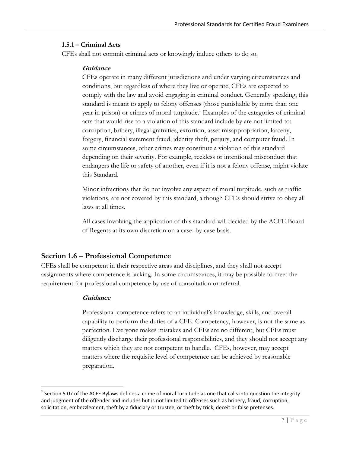#### **1.5.1 – Criminal Acts**

CFEs shall not commit criminal acts or knowingly induce others to do so.

#### **Guidance**

CFEs operate in many different jurisdictions and under varying circumstances and conditions, but regardless of where they live or operate, CFEs are expected to comply with the law and avoid engaging in criminal conduct. Generally speaking, this standard is meant to apply to felony offenses (those punishable by more than one year in prison) or crimes of moral turpitude.<sup>1</sup> Examples of the categories of criminal acts that would rise to a violation of this standard include by are not limited to: corruption, bribery, illegal gratuities, extortion, asset misappropriation, larceny, forgery, financial statement fraud, identity theft, perjury, and computer fraud. In some circumstances, other crimes may constitute a violation of this standard depending on their severity. For example, reckless or intentional misconduct that endangers the life or safety of another, even if it is not a felony offense, might violate this Standard.

Minor infractions that do not involve any aspect of moral turpitude, such as traffic violations, are not covered by this standard, although CFEs should strive to obey all laws at all times.

All cases involving the application of this standard will decided by the ACFE Board of Regents at its own discretion on a case–by-case basis.

## **Section 1.6 – Professional Competence**

CFEs shall be competent in their respective areas and disciplines, and they shall not accept assignments where competence is lacking. In some circumstances, it may be possible to meet the requirement for professional competence by use of consultation or referral.

#### **Guidance**

Professional competence refers to an individual's knowledge, skills, and overall capability to perform the duties of a CFE. Competency, however, is not the same as perfection. Everyone makes mistakes and CFEs are no different, but CFEs must diligently discharge their professional responsibilities, and they should not accept any matters which they are not competent to handle. CFEs, however, may accept matters where the requisite level of competence can be achieved by reasonable preparation.

 $1$  Section 5.07 of the ACFE Bylaws defines a crime of moral turpitude as one that calls into question the integrity and judgment of the offender and includes but is not limited to offenses such as bribery, fraud, corruption, solicitation, embezzlement, theft by a fiduciary or trustee, or theft by trick, deceit or false pretenses.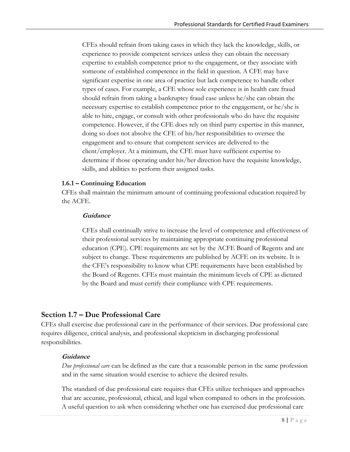CFEs should refrain from taking cases in which they lack the knowledge, skills, or experience to provide competent services unless they can obtain the necessary expertise to establish competence prior to the engagement, or they associate with someone of established competence in the field in question. A CFE may have significant expertise in one area of practice but lack competence to handle other types of cases. For example, a CFE whose sole experience is in health care fraud should refrain from taking a bankruptcy fraud case unless he/she can obtain the necessary expertise to establish competence prior to the engagement, or he/she is able to hire, engage, or consult with other professionals who do have the requisite competence. However, if the CFE does rely on third party expertise in this manner, doing so does not absolve the CFE of his/her responsibilities to oversee the engagement and to ensure that competent services are delivered to the client/employer. At a minimum, the CFE must have sufficient expertise to determine if those operating under his/her direction have the requisite knowledge, skills, and abilities to perform their assigned tasks.

#### **1.6.1 – Continuing Education**

CFEs shall maintain the minimum amount of continuing professional education required by the ACFE.

#### **Guidance**

CFEs shall continually strive to increase the level of competence and effectiveness of their professional services by maintaining appropriate continuing professional education (CPE). CPE requirements are set by the ACFE Board of Regents and are subject to change. These requirements are published by ACFE on its website. It is the CFE's responsibility to know what CPE requirements have been established by the Board of Regents. CFEs must maintain the minimum levels of CPE as dictated by the Board and must certify their compliance with CPE requirements.

## **Section 1.7 – Due Professional Care**

CFEs shall exercise due professional care in the performance of their services. Due professional care requires diligence, critical analysis, and professional skepticism in discharging professional responsibilities.

#### **Guidance**

*Due professional care* can be defined as the care that a reasonable person in the same profession and in the same situation would exercise to achieve the desired results.

The standard of due professional care requires that CFEs utilize techniques and approaches that are accurate, professional, ethical, and legal when compared to others in the profession. A useful question to ask when considering whether one has exercised due professional care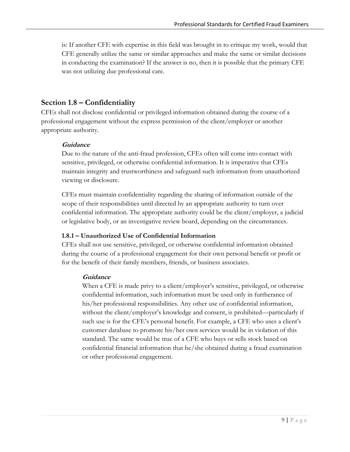is: If another CFE with expertise in this field was brought in to critique my work, would that CFE generally utilize the same or similar approaches and make the same or similar decisions in conducting the examination? If the answer is no, then it is possible that the primary CFE was not utilizing due professional care.

## **Section 1.8 – Confidentiality**

CFEs shall not disclose confidential or privileged information obtained during the course of a professional engagement without the express permission of the client/employer or another appropriate authority.

#### **Guidance**

Due to the nature of the anti-fraud profession, CFEs often will come into contact with sensitive, privileged, or otherwise confidential information. It is imperative that CFEs maintain integrity and trustworthiness and safeguard such information from unauthorized viewing or disclosure.

CFEs must maintain confidentiality regarding the sharing of information outside of the scope of their responsibilities until directed by an appropriate authority to turn over confidential information. The appropriate authority could be the client/employer, a judicial or legislative body, or an investigative review board, depending on the circumstances.

#### **1.8.1 – Unauthorized Use of Confidential Information**

CFEs shall not use sensitive, privileged, or otherwise confidential information obtained during the course of a professional engagement for their own personal benefit or profit or for the benefit of their family members, friends, or business associates.

#### **Guidance**

When a CFE is made privy to a client/employer's sensitive, privileged, or otherwise confidential information, such information must be used only in furtherance of his/her professional responsibilities. Any other use of confidential information, without the client/employer's knowledge and consent, is prohibited—particularly if such use is for the CFE's personal benefit. For example, a CFE who uses a client's customer database to promote his/her own services would be in violation of this standard. The same would be true of a CFE who buys or sells stock based on confidential financial information that he/she obtained during a fraud examination or other professional engagement.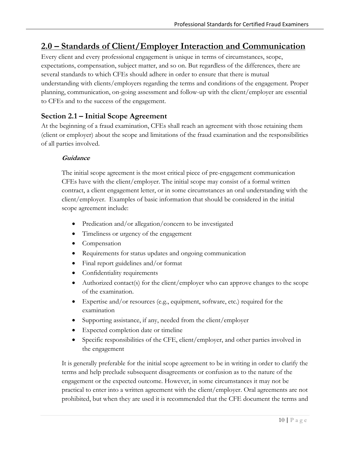# **2.0 – Standards of Client/Employer Interaction and Communication**

Every client and every professional engagement is unique in terms of circumstances, scope, expectations, compensation, subject matter, and so on. But regardless of the differences, there are several standards to which CFEs should adhere in order to ensure that there is mutual understanding with clients/employers regarding the terms and conditions of the engagement. Proper planning, communication, on-going assessment and follow-up with the client/employer are essential to CFEs and to the success of the engagement.

## **Section 2.1 – Initial Scope Agreement**

At the beginning of a fraud examination, CFEs shall reach an agreement with those retaining them (client or employer) about the scope and limitations of the fraud examination and the responsibilities of all parties involved.

#### **Guidance**

The initial scope agreement is the most critical piece of pre-engagement communication CFEs have with the client/employer. The initial scope may consist of a formal written contract, a client engagement letter, or in some circumstances an oral understanding with the client/employer. Examples of basic information that should be considered in the initial scope agreement include:

- Predication and/or allegation/concern to be investigated
- Timeliness or urgency of the engagement
- Compensation
- Requirements for status updates and ongoing communication
- Final report guidelines and/or format
- Confidentiality requirements
- Authorized contact(s) for the client/employer who can approve changes to the scope of the examination.
- Expertise and/or resources (e.g., equipment, software, etc.) required for the examination
- Supporting assistance, if any, needed from the client/employer
- Expected completion date or timeline
- Specific responsibilities of the CFE, client/employer, and other parties involved in the engagement

It is generally preferable for the initial scope agreement to be in writing in order to clarify the terms and help preclude subsequent disagreements or confusion as to the nature of the engagement or the expected outcome. However, in some circumstances it may not be practical to enter into a written agreement with the client/employer. Oral agreements are not prohibited, but when they are used it is recommended that the CFE document the terms and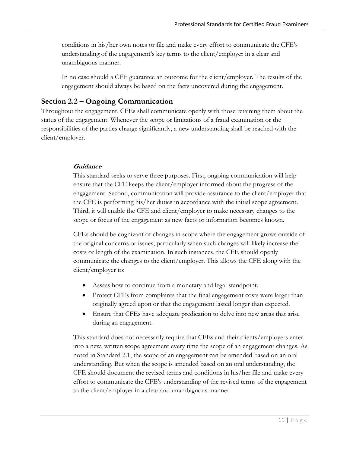conditions in his/her own notes or file and make every effort to communicate the CFE's understanding of the engagement's key terms to the client/employer in a clear and unambiguous manner.

In no case should a CFE guarantee an outcome for the client/employer. The results of the engagement should always be based on the facts uncovered during the engagement.

## **Section 2.2 – Ongoing Communication**

Throughout the engagement, CFEs shall communicate openly with those retaining them about the status of the engagement. Whenever the scope or limitations of a fraud examination or the responsibilities of the parties change significantly, a new understanding shall be reached with the client/employer.

#### **Guidance**

This standard seeks to serve three purposes. First, ongoing communication will help ensure that the CFE keeps the client/employer informed about the progress of the engagement. Second, communication will provide assurance to the client/employer that the CFE is performing his/her duties in accordance with the initial scope agreement. Third, it will enable the CFE and client/employer to make necessary changes to the scope or focus of the engagement as new facts or information becomes known.

CFEs should be cognizant of changes in scope where the engagement grows outside of the original concerns or issues, particularly when such changes will likely increase the costs or length of the examination. In such instances, the CFE should openly communicate the changes to the client/employer. This allows the CFE along with the client/employer to:

- Assess how to continue from a monetary and legal standpoint.
- Protect CFEs from complaints that the final engagement costs were larger than originally agreed upon or that the engagement lasted longer than expected.
- Ensure that CFEs have adequate predication to delve into new areas that arise during an engagement.

This standard does not necessarily require that CFEs and their clients/employers enter into a new, written scope agreement every time the scope of an engagement changes. As noted in Standard 2.1, the scope of an engagement can be amended based on an oral understanding. But when the scope is amended based on an oral understanding, the CFE should document the revised terms and conditions in his/her file and make every effort to communicate the CFE's understanding of the revised terms of the engagement to the client/employer in a clear and unambiguous manner.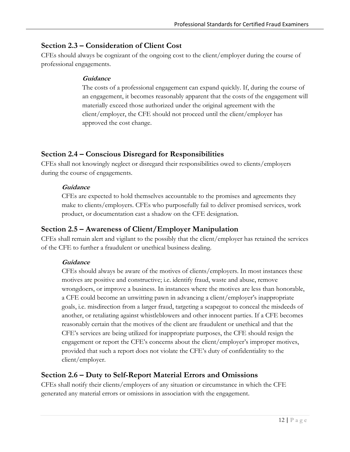## **Section 2.3 – Consideration of Client Cost**

CFEs should always be cognizant of the ongoing cost to the client/employer during the course of professional engagements.

#### **Guidance**

The costs of a professional engagement can expand quickly. If, during the course of an engagement, it becomes reasonably apparent that the costs of the engagement will materially exceed those authorized under the original agreement with the client/employer, the CFE should not proceed until the client/employer has approved the cost change.

## **Section 2.4 – Conscious Disregard for Responsibilities**

CFEs shall not knowingly neglect or disregard their responsibilities owed to clients/employers during the course of engagements.

#### **Guidance**

CFEs are expected to hold themselves accountable to the promises and agreements they make to clients/employers. CFEs who purposefully fail to deliver promised services, work product, or documentation cast a shadow on the CFE designation.

## **Section 2.5 – Awareness of Client/Employer Manipulation**

CFEs shall remain alert and vigilant to the possibly that the client/employer has retained the services of the CFE to further a fraudulent or unethical business dealing.

## **Guidance**

CFEs should always be aware of the motives of clients/employers. In most instances these motives are positive and constructive; i.e. identify fraud, waste and abuse, remove wrongdoers, or improve a business. In instances where the motives are less than honorable, a CFE could become an unwitting pawn in advancing a client/employer's inappropriate goals, i.e. misdirection from a larger fraud, targeting a scapegoat to conceal the misdeeds of another, or retaliating against whistleblowers and other innocent parties. If a CFE becomes reasonably certain that the motives of the client are fraudulent or unethical and that the CFE's services are being utilized for inappropriate purposes, the CFE should resign the engagement or report the CFE's concerns about the client/employer's improper motives, provided that such a report does not violate the CFE's duty of confidentiality to the client/employer.

## **Section 2.6 – Duty to Self-Report Material Errors and Omissions**

CFEs shall notify their clients/employers of any situation or circumstance in which the CFE generated any material errors or omissions in association with the engagement.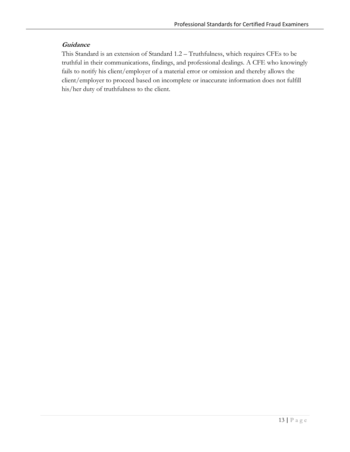#### **Guidance**

This Standard is an extension of Standard 1.2 – Truthfulness, which requires CFEs to be truthful in their communications, findings, and professional dealings. A CFE who knowingly fails to notify his client/employer of a material error or omission and thereby allows the client/employer to proceed based on incomplete or inaccurate information does not fulfill his/her duty of truthfulness to the client.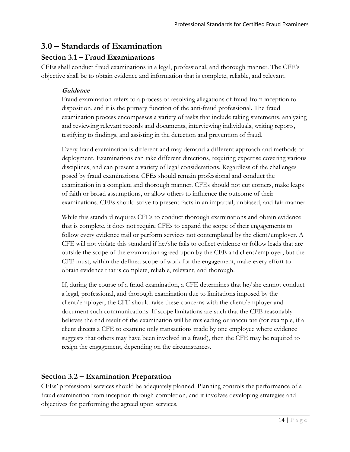# **3.0 – Standards of Examination**

## **Section 3.1 – Fraud Examinations**

CFEs shall conduct fraud examinations in a legal, professional, and thorough manner. The CFE's objective shall be to obtain evidence and information that is complete, reliable, and relevant.

#### **Guidance**

Fraud examination refers to a process of resolving allegations of fraud from inception to disposition, and it is the primary function of the anti-fraud professional. The fraud examination process encompasses a variety of tasks that include taking statements, analyzing and reviewing relevant records and documents, interviewing individuals, writing reports, testifying to findings, and assisting in the detection and prevention of fraud.

Every fraud examination is different and may demand a different approach and methods of deployment. Examinations can take different directions, requiring expertise covering various disciplines, and can present a variety of legal considerations. Regardless of the challenges posed by fraud examinations, CFEs should remain professional and conduct the examination in a complete and thorough manner. CFEs should not cut corners, make leaps of faith or broad assumptions, or allow others to influence the outcome of their examinations. CFEs should strive to present facts in an impartial, unbiased, and fair manner.

While this standard requires CFEs to conduct thorough examinations and obtain evidence that is complete, it does not require CFEs to expand the scope of their engagements to follow every evidence trail or perform services not contemplated by the client/employer. A CFE will not violate this standard if he/she fails to collect evidence or follow leads that are outside the scope of the examination agreed upon by the CFE and client/employer, but the CFE must, within the defined scope of work for the engagement, make every effort to obtain evidence that is complete, reliable, relevant, and thorough.

If, during the course of a fraud examination, a CFE determines that he/she cannot conduct a legal, professional, and thorough examination due to limitations imposed by the client/employer, the CFE should raise these concerns with the client/employer and document such communications. If scope limitations are such that the CFE reasonably believes the end result of the examination will be misleading or inaccurate (for example, if a client directs a CFE to examine only transactions made by one employee where evidence suggests that others may have been involved in a fraud), then the CFE may be required to resign the engagement, depending on the circumstances.

## **Section 3.2 – Examination Preparation**

CFEs' professional services should be adequately planned. Planning controls the performance of a fraud examination from inception through completion, and it involves developing strategies and objectives for performing the agreed upon services.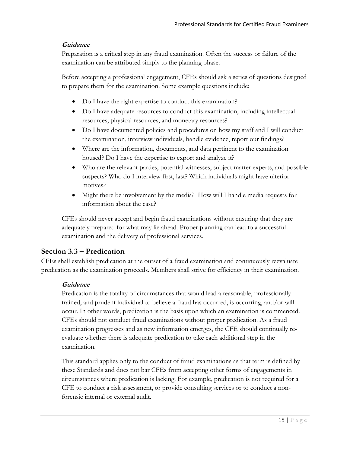#### **Guidance**

Preparation is a critical step in any fraud examination. Often the success or failure of the examination can be attributed simply to the planning phase.

Before accepting a professional engagement, CFEs should ask a series of questions designed to prepare them for the examination. Some example questions include:

- Do I have the right expertise to conduct this examination?
- Do I have adequate resources to conduct this examination, including intellectual resources, physical resources, and monetary resources?
- Do I have documented policies and procedures on how my staff and I will conduct the examination, interview individuals, handle evidence, report our findings?
- Where are the information, documents, and data pertinent to the examination housed? Do I have the expertise to export and analyze it?
- Who are the relevant parties, potential witnesses, subject matter experts, and possible suspects? Who do I interview first, last? Which individuals might have ulterior motives?
- Might there be involvement by the media? How will I handle media requests for information about the case?

CFEs should never accept and begin fraud examinations without ensuring that they are adequately prepared for what may lie ahead. Proper planning can lead to a successful examination and the delivery of professional services.

## **Section 3.3 – Predication**

CFEs shall establish predication at the outset of a fraud examination and continuously reevaluate predication as the examination proceeds. Members shall strive for efficiency in their examination.

#### **Guidance**

Predication is the totality of circumstances that would lead a reasonable, professionally trained, and prudent individual to believe a fraud has occurred, is occurring, and/or will occur. In other words, predication is the basis upon which an examination is commenced. CFEs should not conduct fraud examinations without proper predication. As a fraud examination progresses and as new information emerges, the CFE should continually reevaluate whether there is adequate predication to take each additional step in the examination.

This standard applies only to the conduct of fraud examinations as that term is defined by these Standards and does not bar CFEs from accepting other forms of engagements in circumstances where predication is lacking. For example, predication is not required for a CFE to conduct a risk assessment, to provide consulting services or to conduct a nonforensic internal or external audit.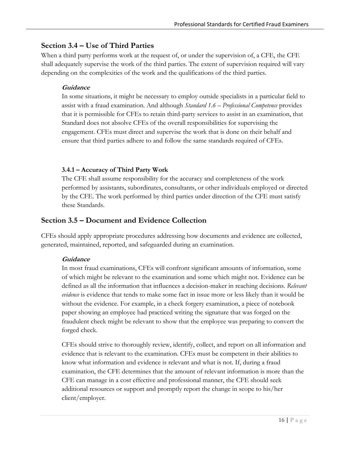## **Section 3.4 – Use of Third Parties**

When a third party performs work at the request of, or under the supervision of, a CFE, the CFE shall adequately supervise the work of the third parties. The extent of supervision required will vary depending on the complexities of the work and the qualifications of the third parties.

#### **Guidance**

In some situations, it might be necessary to employ outside specialists in a particular field to assist with a fraud examination. And although *Standard 1.6 – Professional Competence* provides that it is permissible for CFEs to retain third-party services to assist in an examination, that Standard does not absolve CFEs of the overall responsibilities for supervising the engagement. CFEs must direct and supervise the work that is done on their behalf and ensure that third parties adhere to and follow the same standards required of CFEs.

#### **3.4.1 – Accuracy of Third Party Work**

The CFE shall assume responsibility for the accuracy and completeness of the work performed by assistants, subordinates, consultants, or other individuals employed or directed by the CFE. The work performed by third parties under direction of the CFE must satisfy these Standards.

## **Section 3.5 – Document and Evidence Collection**

CFEs should apply appropriate procedures addressing how documents and evidence are collected, generated, maintained, reported, and safeguarded during an examination.

#### **Guidance**

In most fraud examinations, CFEs will confront significant amounts of information, some of which might be relevant to the examination and some which might not. Evidence can be defined as all the information that influences a decision-maker in reaching decisions. *Relevant evidence* is evidence that tends to make some fact in issue more or less likely than it would be without the evidence. For example, in a check forgery examination, a piece of notebook paper showing an employee had practiced writing the signature that was forged on the fraudulent check might be relevant to show that the employee was preparing to convert the forged check.

CFEs should strive to thoroughly review, identify, collect, and report on all information and evidence that is relevant to the examination. CFEs must be competent in their abilities to know what information and evidence is relevant and what is not. If, during a fraud examination, the CFE determines that the amount of relevant information is more than the CFE can manage in a cost effective and professional manner, the CFE should seek additional resources or support and promptly report the change in scope to his/her client/employer.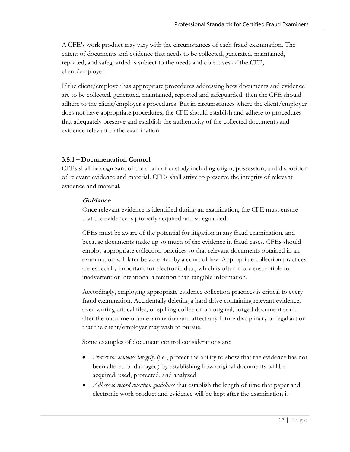A CFE's work product may vary with the circumstances of each fraud examination. The extent of documents and evidence that needs to be collected, generated, maintained, reported, and safeguarded is subject to the needs and objectives of the CFE, client/employer.

If the client/employer has appropriate procedures addressing how documents and evidence are to be collected, generated, maintained, reported and safeguarded, then the CFE should adhere to the client/employer's procedures. But in circumstances where the client/employer does not have appropriate procedures, the CFE should establish and adhere to procedures that adequately preserve and establish the authenticity of the collected documents and evidence relevant to the examination.

#### **3.5.1 – Documentation Control**

CFEs shall be cognizant of the chain of custody including origin, possession, and disposition of relevant evidence and material. CFEs shall strive to preserve the integrity of relevant evidence and material.

#### **Guidance**

Once relevant evidence is identified during an examination, the CFE must ensure that the evidence is properly acquired and safeguarded.

CFEs must be aware of the potential for litigation in any fraud examination, and because documents make up so much of the evidence in fraud cases, CFEs should employ appropriate collection practices so that relevant documents obtained in an examination will later be accepted by a court of law. Appropriate collection practices are especially important for electronic data, which is often more susceptible to inadvertent or intentional alteration than tangible information.

Accordingly, employing appropriate evidence collection practices is critical to every fraud examination. Accidentally deleting a hard drive containing relevant evidence, over-writing critical files, or spilling coffee on an original, forged document could alter the outcome of an examination and affect any future disciplinary or legal action that the client/employer may wish to pursue.

Some examples of document control considerations are:

- *Protect the evidence integrity* (i.e., protect the ability to show that the evidence has not been altered or damaged) by establishing how original documents will be acquired, used, protected, and analyzed.
- *Adhere to record retention guidelines* that establish the length of time that paper and electronic work product and evidence will be kept after the examination is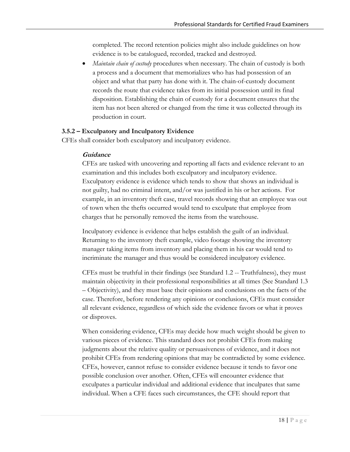completed. The record retention policies might also include guidelines on how evidence is to be catalogued, recorded, tracked and destroyed.

 *Maintain chain of custody* procedures when necessary. The chain of custody is both a process and a document that memorializes who has had possession of an object and what that party has done with it. The chain-of-custody document records the route that evidence takes from its initial possession until its final disposition. Establishing the chain of custody for a document ensures that the item has not been altered or changed from the time it was collected through its production in court.

#### **3.5.2 – Exculpatory and Inculpatory Evidence**

CFEs shall consider both exculpatory and inculpatory evidence.

#### **Guidance**

CFEs are tasked with uncovering and reporting all facts and evidence relevant to an examination and this includes both exculpatory and inculpatory evidence. Exculpatory evidence is evidence which tends to show that shows an individual is not guilty, had no criminal intent, and/or was justified in his or her actions. For example, in an inventory theft case, travel records showing that an employee was out of town when the thefts occurred would tend to exculpate that employee from charges that he personally removed the items from the warehouse.

Inculpatory evidence is evidence that helps establish the guilt of an individual. Returning to the inventory theft example, video footage showing the inventory manager taking items from inventory and placing them in his car would tend to incriminate the manager and thus would be considered inculpatory evidence.

CFEs must be truthful in their findings (see Standard 1.2 -- Truthfulness), they must maintain objectivity in their professional responsibilities at all times (See Standard 1.3 – Objectivity), and they must base their opinions and conclusions on the facts of the case. Therefore, before rendering any opinions or conclusions, CFEs must consider all relevant evidence, regardless of which side the evidence favors or what it proves or disproves.

When considering evidence, CFEs may decide how much weight should be given to various pieces of evidence. This standard does not prohibit CFEs from making judgments about the relative quality or persuasiveness of evidence, and it does not prohibit CFEs from rendering opinions that may be contradicted by some evidence. CFEs, however, cannot refuse to consider evidence because it tends to favor one possible conclusion over another. Often, CFEs will encounter evidence that exculpates a particular individual and additional evidence that inculpates that same individual. When a CFE faces such circumstances, the CFE should report that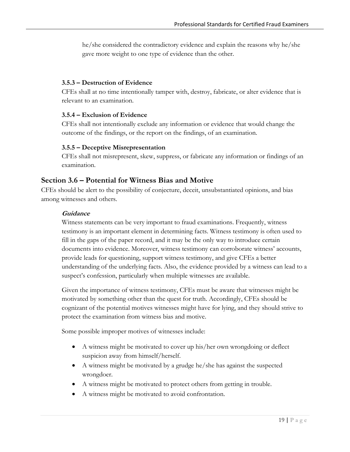he/she considered the contradictory evidence and explain the reasons why he/she gave more weight to one type of evidence than the other.

#### **3.5.3 – Destruction of Evidence**

CFEs shall at no time intentionally tamper with, destroy, fabricate, or alter evidence that is relevant to an examination.

#### **3.5.4 – Exclusion of Evidence**

CFEs shall not intentionally exclude any information or evidence that would change the outcome of the findings, or the report on the findings, of an examination.

#### **3.5.5 – Deceptive Misrepresentation**

CFEs shall not misrepresent, skew, suppress, or fabricate any information or findings of an examination.

#### **Section 3.6 – Potential for Witness Bias and Motive**

CFEs should be alert to the possibility of conjecture, deceit, unsubstantiated opinions, and bias among witnesses and others.

#### **Guidance**

Witness statements can be very important to fraud examinations. Frequently, witness testimony is an important element in determining facts. Witness testimony is often used to fill in the gaps of the paper record, and it may be the only way to introduce certain documents into evidence. Moreover, witness testimony can corroborate witness' accounts, provide leads for questioning, support witness testimony, and give CFEs a better understanding of the underlying facts. Also, the evidence provided by a witness can lead to a suspect's confession, particularly when multiple witnesses are available.

Given the importance of witness testimony, CFEs must be aware that witnesses might be motivated by something other than the quest for truth. Accordingly, CFEs should be cognizant of the potential motives witnesses might have for lying, and they should strive to protect the examination from witness bias and motive.

Some possible improper motives of witnesses include:

- A witness might be motivated to cover up his/her own wrongdoing or deflect suspicion away from himself/herself.
- A witness might be motivated by a grudge he/she has against the suspected wrongdoer.
- A witness might be motivated to protect others from getting in trouble.
- A witness might be motivated to avoid confrontation.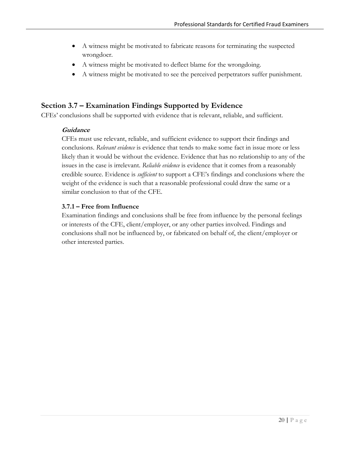- A witness might be motivated to fabricate reasons for terminating the suspected wrongdoer.
- A witness might be motivated to deflect blame for the wrongdoing.
- A witness might be motivated to see the perceived perpetrators suffer punishment.

## **Section 3.7 – Examination Findings Supported by Evidence**

CFEs' conclusions shall be supported with evidence that is relevant, reliable, and sufficient.

#### **Guidance**

CFEs must use relevant, reliable, and sufficient evidence to support their findings and conclusions. *Relevant evidence* is evidence that tends to make some fact in issue more or less likely than it would be without the evidence. Evidence that has no relationship to any of the issues in the case is irrelevant. *Reliable evidence* is evidence that it comes from a reasonably credible source. Evidence is *sufficient* to support a CFE's findings and conclusions where the weight of the evidence is such that a reasonable professional could draw the same or a similar conclusion to that of the CFE.

#### **3.7.1 – Free from Influence**

Examination findings and conclusions shall be free from influence by the personal feelings or interests of the CFE, client/employer, or any other parties involved. Findings and conclusions shall not be influenced by, or fabricated on behalf of, the client/employer or other interested parties.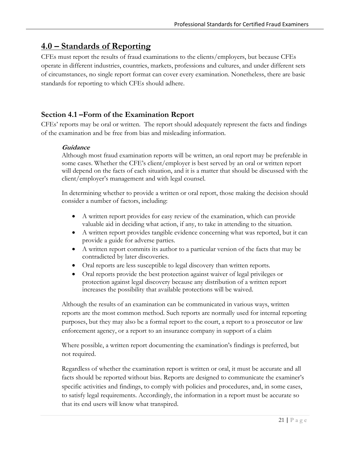# **4.0 – Standards of Reporting**

CFEs must report the results of fraud examinations to the clients/employers, but because CFEs operate in different industries, countries, markets, professions and cultures, and under different sets of circumstances, no single report format can cover every examination. Nonetheless, there are basic standards for reporting to which CFEs should adhere.

## **Section 4.1 –Form of the Examination Report**

CFEs' reports may be oral or written. The report should adequately represent the facts and findings of the examination and be free from bias and misleading information.

#### **Guidance**

Although most fraud examination reports will be written, an oral report may be preferable in some cases. Whether the CFE's client/employer is best served by an oral or written report will depend on the facts of each situation, and it is a matter that should be discussed with the client/employer's management and with legal counsel.

In determining whether to provide a written or oral report, those making the decision should consider a number of factors, including:

- A written report provides for easy review of the examination, which can provide valuable aid in deciding what action, if any, to take in attending to the situation.
- A written report provides tangible evidence concerning what was reported, but it can provide a guide for adverse parties.
- A written report commits its author to a particular version of the facts that may be contradicted by later discoveries.
- Oral reports are less susceptible to legal discovery than written reports.
- Oral reports provide the best protection against waiver of legal privileges or protection against legal discovery because any distribution of a written report increases the possibility that available protections will be waived.

Although the results of an examination can be communicated in various ways, written reports are the most common method. Such reports are normally used for internal reporting purposes, but they may also be a formal report to the court, a report to a prosecutor or law enforcement agency, or a report to an insurance company in support of a claim

Where possible, a written report documenting the examination's findings is preferred, but not required.

Regardless of whether the examination report is written or oral, it must be accurate and all facts should be reported without bias. Reports are designed to communicate the examiner's specific activities and findings, to comply with policies and procedures, and, in some cases, to satisfy legal requirements. Accordingly, the information in a report must be accurate so that its end users will know what transpired.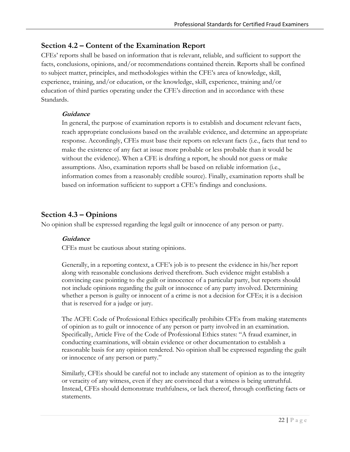## **Section 4.2 – Content of the Examination Report**

CFEs' reports shall be based on information that is relevant, reliable, and sufficient to support the facts, conclusions, opinions, and/or recommendations contained therein. Reports shall be confined to subject matter, principles, and methodologies within the CFE's area of knowledge, skill, experience, training, and/or education, or the knowledge, skill, experience, training and/or education of third parties operating under the CFE's direction and in accordance with these Standards.

#### **Guidance**

In general, the purpose of examination reports is to establish and document relevant facts, reach appropriate conclusions based on the available evidence, and determine an appropriate response. Accordingly, CFEs must base their reports on relevant facts (i.e., facts that tend to make the existence of any fact at issue more probable or less probable than it would be without the evidence). When a CFE is drafting a report, he should not guess or make assumptions. Also, examination reports shall be based on reliable information (i.e., information comes from a reasonably credible source). Finally, examination reports shall be based on information sufficient to support a CFE's findings and conclusions.

## **Section 4.3 – Opinions**

No opinion shall be expressed regarding the legal guilt or innocence of any person or party.

## **Guidance**

CFEs must be cautious about stating opinions.

Generally, in a reporting context, a CFE's job is to present the evidence in his/her report along with reasonable conclusions derived therefrom. Such evidence might establish a convincing case pointing to the guilt or innocence of a particular party, but reports should not include opinions regarding the guilt or innocence of any party involved. Determining whether a person is guilty or innocent of a crime is not a decision for CFEs; it is a decision that is reserved for a judge or jury.

The ACFE Code of Professional Ethics specifically prohibits CFEs from making statements of opinion as to guilt or innocence of any person or party involved in an examination. Specifically, Article Five of the Code of Professional Ethics states: "A fraud examiner, in conducting examinations, will obtain evidence or other documentation to establish a reasonable basis for any opinion rendered. No opinion shall be expressed regarding the guilt or innocence of any person or party."

Similarly, CFEs should be careful not to include any statement of opinion as to the integrity or veracity of any witness, even if they are convinced that a witness is being untruthful. Instead, CFEs should demonstrate truthfulness, or lack thereof, through conflicting facts or statements.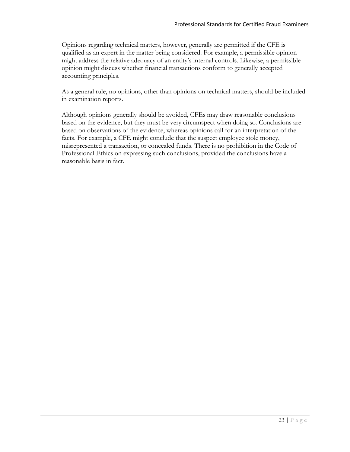Opinions regarding technical matters, however, generally are permitted if the CFE is qualified as an expert in the matter being considered. For example, a permissible opinion might address the relative adequacy of an entity's internal controls. Likewise, a permissible opinion might discuss whether financial transactions conform to generally accepted accounting principles.

As a general rule, no opinions, other than opinions on technical matters, should be included in examination reports.

Although opinions generally should be avoided, CFEs may draw reasonable conclusions based on the evidence, but they must be very circumspect when doing so. Conclusions are based on observations of the evidence, whereas opinions call for an interpretation of the facts. For example, a CFE might conclude that the suspect employee stole money, misrepresented a transaction, or concealed funds. There is no prohibition in the Code of Professional Ethics on expressing such conclusions, provided the conclusions have a reasonable basis in fact.